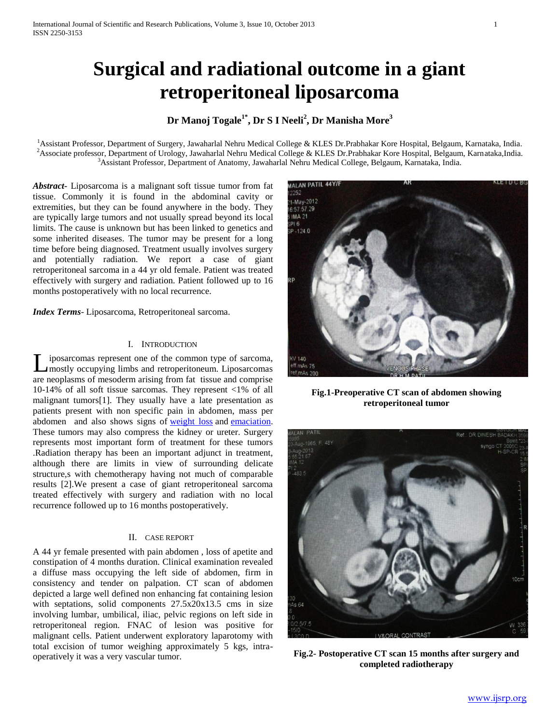# **Surgical and radiational outcome in a giant retroperitoneal liposarcoma**

# **Dr Manoj Togale1\*, Dr S I Neeli<sup>2</sup> , Dr Manisha More<sup>3</sup>**

<sup>1</sup>Assistant Professor, Department of Surgery, Jawaharlal Nehru Medical College & KLES Dr.Prabhakar Kore Hospital, Belgaum, Karnataka, India.  $^2$ Associate professor, Department of Urology, Jawaharlal Nehru Medical College & KLES Dr.Prabhakar Kore Hospital, Belgaum, Karnataka,India. <sup>3</sup>Assistant Professor, Department of Anatomy, Jawaharlal Nehru Medical College, Belgaum, Karnataka, India.

*Abstract***-** Liposarcoma is a malignant soft tissue tumor from fat tissue. Commonly it is found in the abdominal cavity or extremities, but they can be found anywhere in the body. They are typically large tumors and not usually spread beyond its local limits. The cause is unknown but has been linked to genetics and some inherited diseases. The tumor may be present for a long time before being diagnosed. Treatment usually involves surgery and potentially radiation. We report a case of giant retroperitoneal sarcoma in a 44 yr old female. Patient was treated effectively with surgery and radiation. Patient followed up to 16 months postoperatively with no local recurrence.

*Index Terms*- Liposarcoma, Retroperitoneal sarcoma.

### I. INTRODUCTION

iposarcomas represent one of the common type of sarcoma, mostly occupying limbs and retroperitoneum. Liposarcomas Lare neoplasms of mesoderm arising from fat tissue and comprise 10-14% of all soft tissue sarcomas. They represent <1% of all malignant tumors[1]. They usually have a late presentation as patients present with non specific pain in abdomen, mass per abdomen and also shows signs of [weight loss](http://en.wikipedia.org/wiki/Weight_loss) and [emaciation.](http://en.wikipedia.org/wiki/Emaciation)  These tumors may also compress the kidney or ureter. Surgery represents most important form of treatment for these tumors .Radiation therapy has been an important adjunct in treatment, although there are limits in view of surrounding delicate structure,s with chemotherapy having not much of comparable results [2].We present a case of giant retroperitoneal sarcoma treated effectively with surgery and radiation with no local recurrence followed up to 16 months postoperatively.

## II. CASE REPORT

A 44 yr female presented with pain abdomen , loss of apetite and constipation of 4 months duration. Clinical examination revealed a diffuse mass occupying the left side of abdomen, firm in consistency and tender on palpation. CT scan of abdomen depicted a large well defined non enhancing fat containing lesion with septations, solid components 27.5x20x13.5 cms in size involving lumbar, umbilical, iliac, pelvic regions on left side in retroperitoneal region. FNAC of lesion was positive for malignant cells. Patient underwent exploratory laparotomy with total excision of tumor weighing approximately 5 kgs, intraoperatively it was a very vascular tumor.



**Fig.1-Preoperative CT scan of abdomen showing retroperitoneal tumor**



**Fig.2- Postoperative CT scan 15 months after surgery and completed radiotherapy**